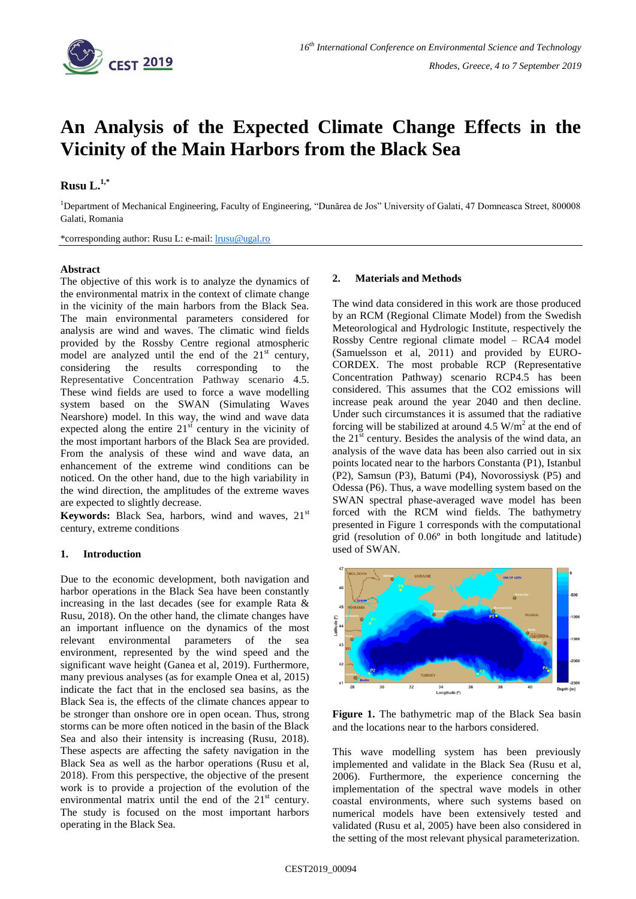

# **An Analysis of the Expected Climate Change Effects in the Vicinity of the Main Harbors from the Black Sea**

## **Rusu L. 1,\***

<sup>1</sup>Department of Mechanical Engineering, Faculty of Engineering, "Dunărea de Jos" University of Galati, 47 Domneasca Street, 800008 Galati, Romania

\*corresponding author: Rusu L: e-mail: [lrusu@ugal.ro](mailto:lrusu@ugal.ro)

#### **Abstract**

The objective of this work is to analyze the dynamics of the environmental matrix in the context of climate change in the vicinity of the main harbors from the Black Sea. The main environmental parameters considered for analysis are wind and waves. The climatic wind fields provided by the Rossby Centre regional atmospheric model are analyzed until the end of the  $21<sup>st</sup>$  century, considering the results corresponding to the Representative Concentration Pathway scenario 4.5. These wind fields are used to force a wave modelling system based on the SWAN (Simulating Waves Nearshore) model. In this way, the wind and wave data expected along the entire  $21<sup>st</sup>$  century in the vicinity of the most important harbors of the Black Sea are provided. From the analysis of these wind and wave data, an enhancement of the extreme wind conditions can be noticed. On the other hand, due to the high variability in the wind direction, the amplitudes of the extreme waves are expected to slightly decrease.

Keywords: Black Sea, harbors, wind and waves, 21<sup>st</sup> century, extreme conditions

#### **1. Introduction**

Due to the economic development, both navigation and harbor operations in the Black Sea have been constantly increasing in the last decades (see for example Rata & Rusu, 2018). On the other hand, the climate changes have an important influence on the dynamics of the most relevant environmental parameters of the sea environment, represented by the wind speed and the significant wave height (Ganea et al, 2019). Furthermore, many previous analyses (as for example Onea et al, 2015) indicate the fact that in the enclosed sea basins, as the Black Sea is, the effects of the climate chances appear to be stronger than onshore ore in open ocean. Thus, strong storms can be more often noticed in the basin of the Black Sea and also their intensity is increasing (Rusu, 2018). These aspects are affecting the safety navigation in the Black Sea as well as the harbor operations (Rusu et al, 2018). From this perspective, the objective of the present work is to provide a projection of the evolution of the environmental matrix until the end of the  $21<sup>st</sup>$  century. The study is focused on the most important harbors operating in the Black Sea.

#### **2. Materials and Methods**

The wind data considered in this work are those produced by an RCM (Regional Climate Model) from the Swedish Meteorological and Hydrologic Institute, respectively the Rossby Centre regional climate model – RCA4 model (Samuelsson et al, 2011) and provided by EURO-CORDEX. The most probable RCP (Representative Concentration Pathway) scenario RCP4.5 has been considered. This assumes that the CO2 emissions will increase peak around the year 2040 and then decline. Under such circumstances it is assumed that the radiative forcing will be stabilized at around  $4.5 \text{ W/m}^2$  at the end of the  $21<sup>st</sup>$  century. Besides the analysis of the wind data, an analysis of the wave data has been also carried out in six points located near to the harbors Constanta (P1), Istanbul (P2), Samsun (P3), Batumi (P4), Novorossiysk (P5) and Odessa (P6). Thus, a wave modelling system based on the SWAN spectral phase-averaged wave model has been forced with the RCM wind fields. The bathymetry presented in Figure 1 corresponds with the computational grid (resolution of 0.06º in both longitude and latitude) used of SWAN.



**Figure 1.** The bathymetric map of the Black Sea basin and the locations near to the harbors considered.

This wave modelling system has been previously implemented and validate in the Black Sea (Rusu et al, 2006). Furthermore, the experience concerning the implementation of the spectral wave models in other coastal environments, where such systems based on numerical models have been extensively tested and validated (Rusu et al, 2005) have been also considered in the setting of the most relevant physical parameterization.